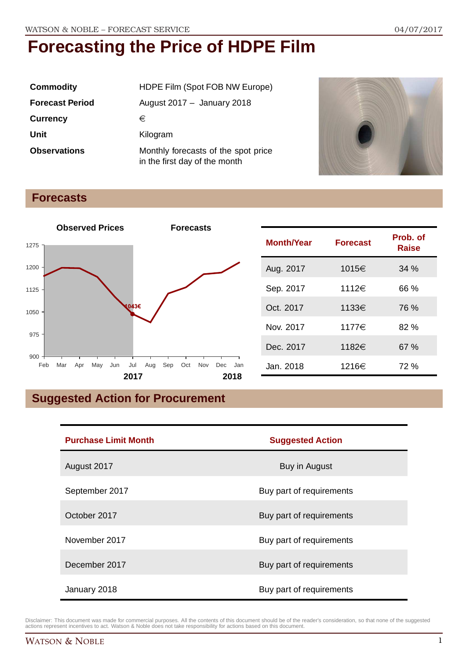| <b>Commodity</b>       | HDPE Film (Spot FOB NW Europe)                                       |  |
|------------------------|----------------------------------------------------------------------|--|
| <b>Forecast Period</b> | August $2017 -$ January 2018                                         |  |
| <b>Currency</b>        | €                                                                    |  |
| Unit                   | Kilogram                                                             |  |
| <b>Observations</b>    | Monthly forecasts of the spot price<br>in the first day of the month |  |



### **Forecasts**



| <b>Month/Year</b> | <b>Forecast</b> | Prob. of<br>Raise |
|-------------------|-----------------|-------------------|
| Aug. 2017         | 1015€           | 34%               |
| Sep. 2017         | 1112€           | 66 %              |
| Oct. 2017         | 1133€           | 76 %              |
| Nov. 2017         | 1177€           | 82%               |
| Dec. 2017         | 1182€           | 67%               |
| Jan. 2018         | 1216€           | 72 %              |

## **Suggested Action for Procurement**

| <b>Purchase Limit Month</b> | <b>Suggested Action</b>  |
|-----------------------------|--------------------------|
| August 2017                 | Buy in August            |
| September 2017              | Buy part of requirements |
| October 2017                | Buy part of requirements |
| November 2017               | Buy part of requirements |
| December 2017               | Buy part of requirements |
| January 2018                | Buy part of requirements |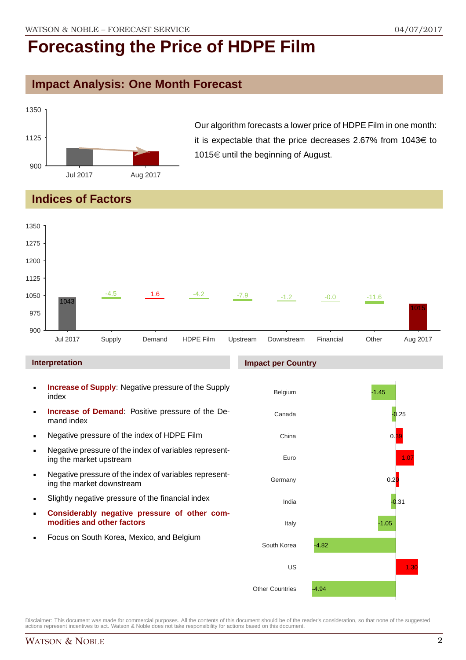## **Impact Analysis: One Month Forecast**



Our algorithm forecasts a lower price of HDPE Film in one month: it is expectable that the price decreases 2.67% from 1043 $\in$  to 1015 $\in$  until the beginning of August.

## **Indices of Factors**



#### **Interpretation**

- **Increase of Supply**: Negative pressure of the Supply index
- **Increase of Demand**: Positive pressure of the Demand index
- **Negative pressure of the index of HDPE Film**
- Negative pressure of the index of variables representing the market upstream
- Negative pressure of the index of variables representing the market downstream
- Slightly negative pressure of the financial index
- **Considerably negative pressure of other commodities and other factors**
- **Focus on South Korea, Mexico, and Belgium**



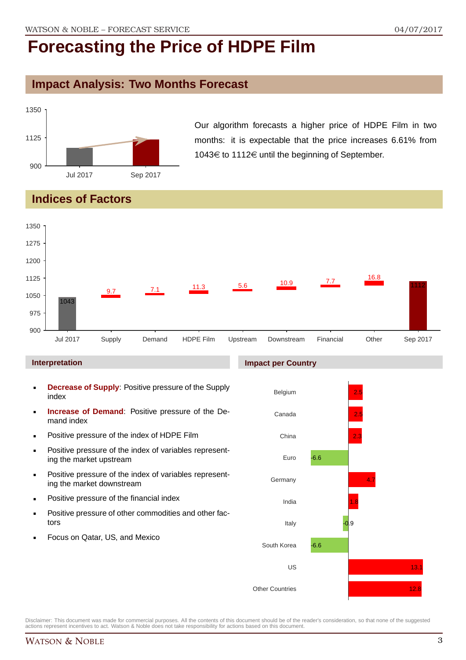## **Impact Analysis: Two Months Forecast**



Our algorithm forecasts a higher price of HDPE Film in two months: it is expectable that the price increases 6.61% from 1043€ to 1112€ until the beginning of September.

## **Indices of Factors**



#### **Interpretation**

- **Decrease of Supply**: Positive pressure of the Supply index
- **Increase of Demand**: Positive pressure of the Demand index
- **Positive pressure of the index of HDPE Film**
- **Positive pressure of the index of variables represent**ing the market upstream
- **Positive pressure of the index of variables represent**ing the market downstream
- **•** Positive pressure of the financial index
- **Positive pressure of other commodities and other fac**tors
- Focus on Qatar, US, and Mexico

#### **Impact per Country**

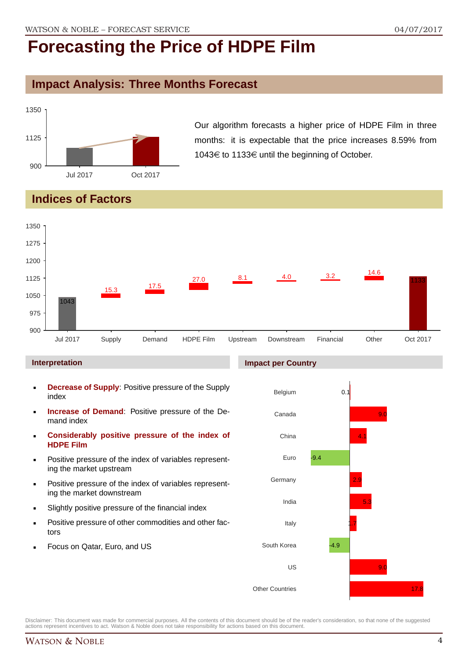## **Impact Analysis: Three Months Forecast**



Our algorithm forecasts a higher price of HDPE Film in three months: it is expectable that the price increases 8.59% from 1043€ to 1133€ until the beginning of October.

## **Indices of Factors**



#### **Interpretation**

- **Decrease of Supply**: Positive pressure of the Supply index
- **Increase of Demand**: Positive pressure of the Demand index
- **Considerably positive pressure of the index of HDPE Film**
- Positive pressure of the index of variables representing the market upstream
- Positive pressure of the index of variables representing the market downstream
- Slightly positive pressure of the financial index
- Positive pressure of other commodities and other factors
- Focus on Qatar, Euro, and US

#### **Impact per Country**

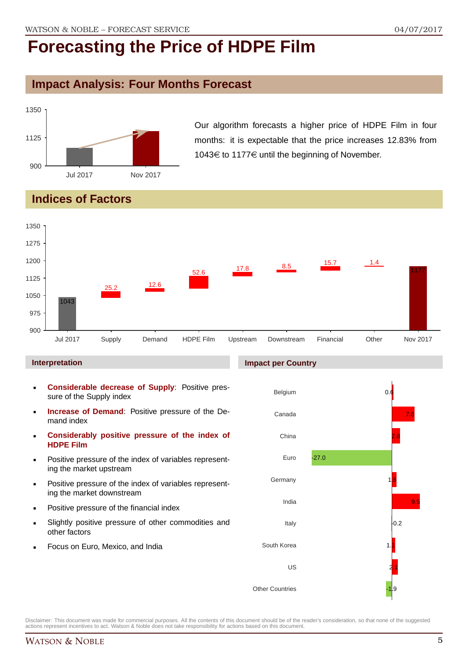## **Impact Analysis: Four Months Forecast**



Our algorithm forecasts a higher price of HDPE Film in four months: it is expectable that the price increases 12.83% from 1043 $\in$  to 1177 $\in$  until the beginning of November.

## **Indices of Factors**



#### **Interpretation**

- **Considerable decrease of Supply**: Positive pressure of the Supply index
- **Increase of Demand**: Positive pressure of the Demand index
- **Considerably positive pressure of the index of HDPE Film**
- Positive pressure of the index of variables representing the market upstream
- Positive pressure of the index of variables representing the market downstream
- Positive pressure of the financial index
- Slightly positive pressure of other commodities and other factors
- Focus on Euro, Mexico, and India

#### **Impact per Country**

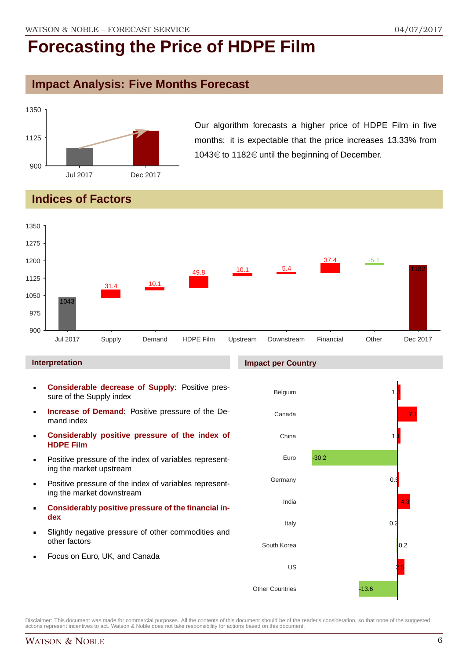## **Impact Analysis: Five Months Forecast**



Our algorithm forecasts a higher price of HDPE Film in five months: it is expectable that the price increases 13.33% from 1043 $\in$  to 1182 $\in$  until the beginning of December.

## **Indices of Factors**



**Impact per Country**

#### **Interpretation**

- **Considerable decrease of Supply**: Positive pressure of the Supply index
- **Increase of Demand**: Positive pressure of the Demand index
- **Considerably positive pressure of the index of HDPE Film**
- Positive pressure of the index of variables representing the market upstream
- Positive pressure of the index of variables representing the market downstream
- **Considerably positive pressure of the financial index**
- Slightly negative pressure of other commodities and other factors
- Focus on Euro, UK, and Canada

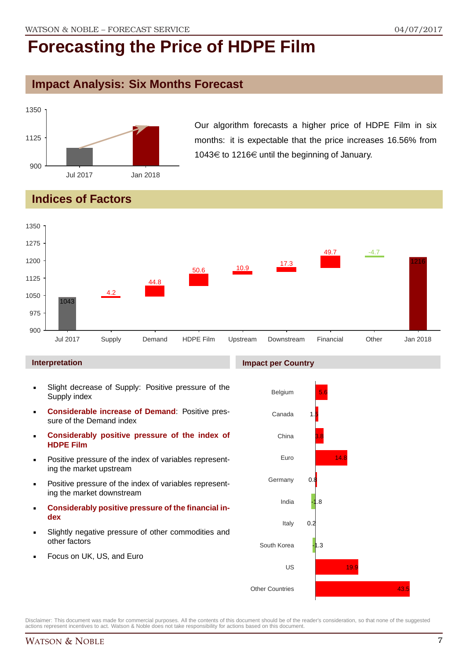## **Impact Analysis: Six Months Forecast**



Our algorithm forecasts a higher price of HDPE Film in six months: it is expectable that the price increases 16.56% from 1043€ to 1216€ until the beginning of January.

## **Indices of Factors**



#### **Interpretation**

- Slight decrease of Supply: Positive pressure of the Supply index
- **Considerable increase of Demand**: Positive pressure of the Demand index
- **Considerably positive pressure of the index of HDPE Film**
- Positive pressure of the index of variables representing the market upstream
- Positive pressure of the index of variables representing the market downstream
- **Considerably positive pressure of the financial index**
- Slightly negative pressure of other commodities and other factors
- Focus on UK, US, and Euro

## **Impact per Country**

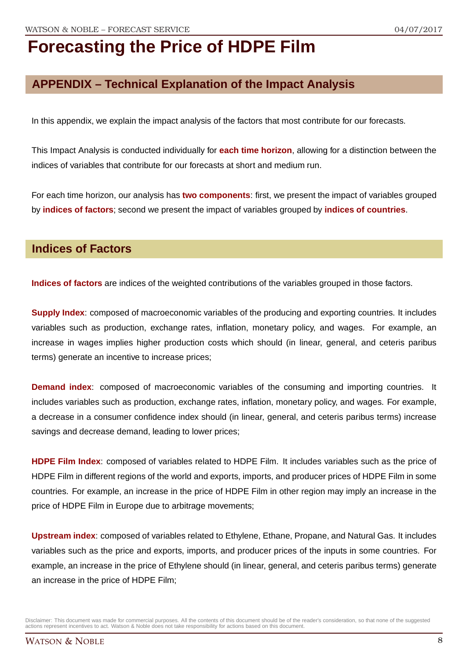## **APPENDIX – Technical Explanation of the Impact Analysis**

In this appendix, we explain the impact analysis of the factors that most contribute for our forecasts.

This Impact Analysis is conducted individually for **each time horizon**, allowing for a distinction between the indices of variables that contribute for our forecasts at short and medium run.

For each time horizon, our analysis has **two components**: first, we present the impact of variables grouped by **indices of factors**; second we present the impact of variables grouped by **indices of countries**.

### **Indices of Factors**

**Indices of factors** are indices of the weighted contributions of the variables grouped in those factors.

**Supply Index**: composed of macroeconomic variables of the producing and exporting countries. It includes variables such as production, exchange rates, inflation, monetary policy, and wages. For example, an increase in wages implies higher production costs which should (in linear, general, and ceteris paribus terms) generate an incentive to increase prices;

**Demand index**: composed of macroeconomic variables of the consuming and importing countries. It includes variables such as production, exchange rates, inflation, monetary policy, and wages. For example, a decrease in a consumer confidence index should (in linear, general, and ceteris paribus terms) increase savings and decrease demand, leading to lower prices;

**HDPE Film Index**: composed of variables related to HDPE Film. It includes variables such as the price of HDPE Film in different regions of the world and exports, imports, and producer prices of HDPE Film in some countries. For example, an increase in the price of HDPE Film in other region may imply an increase in the price of HDPE Film in Europe due to arbitrage movements;

**Upstream index**: composed of variables related to Ethylene, Ethane, Propane, and Natural Gas. It includes variables such as the price and exports, imports, and producer prices of the inputs in some countries. For example, an increase in the price of Ethylene should (in linear, general, and ceteris paribus terms) generate an increase in the price of HDPE Film;